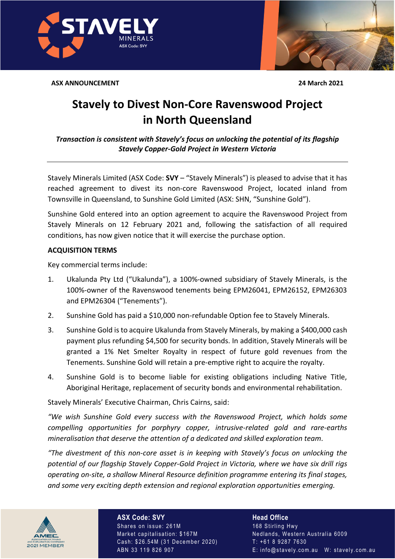**ASX ANNOUNCEMENT** 

24 March 2021

## **Stavely to Divest Non-Core Ravenswood Project** in North Queensland

Transaction is consistent with Stavely's focus on unlocking the potential of its flagship **Stavely Copper-Gold Project in Western Victoria** 

Stavely Minerals Limited (ASX Code: SVY - "Stavely Minerals") is pleased to advise that it has reached agreement to divest its non-core Ravenswood Project, located inland from Townsville in Queensland, to Sunshine Gold Limited (ASX: SHN, "Sunshine Gold").

Sunshine Gold entered into an option agreement to acquire the Ravenswood Project from Stavely Minerals on 12 February 2021 and, following the satisfaction of all required conditions, has now given notice that it will exercise the purchase option.

## **ACQUISITION TERMS**

Key commercial terms include:

- $1.$ Ukalunda Pty Ltd ("Ukalunda"), a 100%-owned subsidiary of Stavely Minerals, is the 100%-owner of the Ravenswood tenements being EPM26041, EPM26152, EPM26303 and EPM26304 ("Tenements").
- $2.$ Sunshine Gold has paid a \$10,000 non-refundable Option fee to Stavely Minerals.
- $3.$ Sunshine Gold is to acquire Ukalunda from Stavely Minerals, by making a \$400,000 cash payment plus refunding \$4,500 for security bonds. In addition, Stavely Minerals will be granted a 1% Net Smelter Royalty in respect of future gold revenues from the Tenements. Sunshine Gold will retain a pre-emptive right to acquire the royalty.
- $\overline{4}$ . Sunshine Gold is to become liable for existing obligations including Native Title, Aboriginal Heritage, replacement of security bonds and environmental rehabilitation.

Stavely Minerals' Executive Chairman, Chris Cairns, said:

"We wish Sunshine Gold every success with the Ravenswood Project, which holds some compelling opportunities for porphyry copper, intrusive-related gold and rare-earths mineralisation that deserve the attention of a dedicated and skilled exploration team.

"The divestment of this non-core asset is in keeping with Stavely's focus on unlocking the potential of our flagship Stavely Copper-Gold Project in Victoria, where we have six drill rigs operating on-site, a shallow Mineral Resource definition programme entering its final stages, and some very exciting depth extension and regional exploration opportunities emerging.



**ASX Code: SVY** Shares on issue: 261M Market capitalisation: \$167M Cash: \$26.54M (31 December 2020) ABN 33 119 826 907

**Head Office** 168 Stirling Hwy Nedlands, Western Australia 6009 T: +61 8 9287 7630 E: info@stavely.com.au W: stavely.com.au



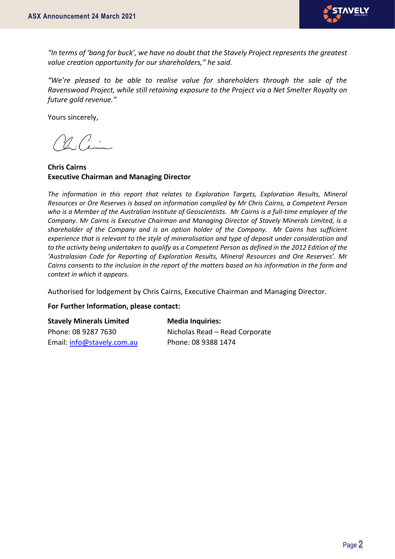

*"In terms of 'bang for buck', we have no doubt that the Stavely Project represents the greatest value creation opportunity for our shareholders," he said.* 

*"We're pleased to be able to realise value for shareholders through the sale of the Ravenswood Project, while still retaining exposure to the Project via a Net Smelter Royalty on future gold revenue."*

Yours sincerely,

 $1\mathcal{C}$ .

**Chris Cairns Executive Chairman and Managing Director**

*The information in this report that relates to Exploration Targets, Exploration Results, Mineral Resources or Ore Reserves is based on information compiled by Mr Chris Cairns, a Competent Person who is a Member of the Australian Institute of Geoscientists. Mr Cairns is a full-time employee of the Company. Mr Cairns is Executive Chairman and Managing Director of Stavely Minerals Limited, is a shareholder of the Company and is an option holder of the Company. Mr Cairns has sufficient experience that is relevant to the style of mineralisation and type of deposit under consideration and to the activity being undertaken to qualify as a Competent Person as defined in the 2012 Edition of the 'Australasian Code for Reporting of Exploration Results, Mineral Resources and Ore Reserves'. Mr Cairns consents to the inclusion in the report of the matters based on his information in the form and context in which it appears.*

Authorised for lodgement by Chris Cairns, Executive Chairman and Managing Director.

## **For Further Information, please contact:**

| <b>Stavely Minerals Limited</b> | <b>Media Inquiries:</b>        |
|---------------------------------|--------------------------------|
| Phone: 08 9287 7630             | Nicholas Read - Read Corporate |
| Email: info@stavely.com.au      | Phone: 08 9388 1474            |